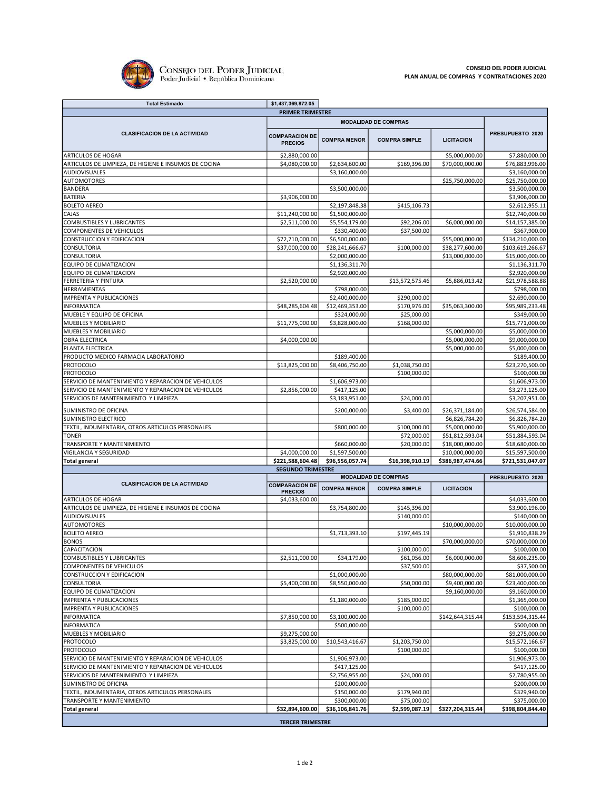

| <b>Total Estimado</b>                                   | \$1,437,369,872.05                      |                                  |                                |                   |                                   |  |  |
|---------------------------------------------------------|-----------------------------------------|----------------------------------|--------------------------------|-------------------|-----------------------------------|--|--|
| <b>PRIMER TRIMESTRE</b>                                 |                                         |                                  |                                |                   |                                   |  |  |
|                                                         | <b>MODALIDAD DE COMPRAS</b>             |                                  |                                |                   |                                   |  |  |
| <b>CLASIFICACION DE LA ACTIVIDAD</b>                    | <b>COMPARACION DE</b><br><b>PRECIOS</b> | <b>COMPRA MENOR</b>              | <b>COMPRA SIMPLE</b>           | <b>LICITACION</b> | PRESUPUESTO 2020                  |  |  |
| <b>ARTICULOS DE HOGAR</b>                               | \$2,880,000.00                          |                                  |                                | \$5,000,000.00    | \$7,880,000.00                    |  |  |
| ARTICULOS DE LIMPIEZA, DE HIGIENE E INSUMOS DE COCINA   | \$4,080,000.00                          | \$2,634,600.00                   | \$169,396.00                   | \$70,000,000.00   | \$76,883,996.00                   |  |  |
| AUDIOVISUALES                                           |                                         | \$3,160,000.00                   |                                |                   | \$3,160,000.00                    |  |  |
| <b>AUTOMOTORES</b>                                      |                                         |                                  |                                | \$25,750,000.00   | \$25,750,000.00                   |  |  |
| BANDERA                                                 |                                         | \$3,500,000.00                   |                                |                   | \$3,500,000.00                    |  |  |
| <b>BATERIA</b>                                          | \$3,906,000.00                          |                                  |                                |                   | \$3,906,000.00                    |  |  |
| <b>BOLETO AEREO</b><br>CAJAS                            |                                         | \$2,197,848.38                   | \$415,106.73                   |                   | \$2,612,955.11<br>\$12,740,000.00 |  |  |
| COMBUSTIBLES Y LUBRICANTES                              | \$11,240,000.00<br>\$2,511,000.00       | \$1,500,000.00<br>\$5,554,179.00 | \$92,206.00                    | \$6,000,000.00    | \$14,157,385.00                   |  |  |
| COMPONENTES DE VEHICULOS                                |                                         | \$330,400.00                     | \$37,500.00                    |                   | \$367,900.00                      |  |  |
| CONSTRUCCION Y EDIFICACION                              | \$72,710,000.00                         | \$6,500,000.00                   |                                | \$55,000,000.00   | \$134,210,000.00                  |  |  |
| CONSULTORIA                                             | \$37,000,000.00                         | \$28,241,666.67                  | \$100,000.00                   | \$38,277,600.00   | \$103,619,266.67                  |  |  |
| CONSULTORIA                                             |                                         | \$2,000,000.00                   |                                | \$13,000,000.00   | \$15,000,000.00                   |  |  |
| EQUIPO DE CLIMATIZACION                                 |                                         | \$1,136,311.70                   |                                |                   | \$1,136,311.70                    |  |  |
| EQUIPO DE CLIMATIZACION                                 |                                         | \$2,920,000.00                   |                                |                   | \$2,920,000.00                    |  |  |
| FERRETERIA Y PINTURA                                    | \$2,520,000.00                          |                                  | \$13,572,575.46                | \$5,886,013.42    | \$21,978,588.88                   |  |  |
| HERRAMIENTAS                                            |                                         | \$798,000.00                     |                                |                   | \$798,000.00                      |  |  |
| <b>IMPRENTA Y PUBLICACIONES</b>                         |                                         | \$2,400,000.00                   | \$290,000.00                   |                   | \$2,690,000.00                    |  |  |
| INFORMATICA<br>MUEBLE Y EQUIPO DE OFICINA               | \$48,285,604.48                         | \$12,469,353.00<br>\$324,000.00  | \$170,976.00<br>\$25,000.00    | \$35,063,300.00   | \$95,989,233.48<br>\$349,000.00   |  |  |
| MUEBLES Y MOBILIARIO                                    | \$11,775,000.00                         | \$3,828,000.00                   | \$168,000.00                   |                   | \$15,771,000.00                   |  |  |
| MUEBLES Y MOBILIARIO                                    |                                         |                                  |                                | \$5,000,000.00    | \$5,000,000.00                    |  |  |
| OBRA ELECTRICA                                          | \$4,000,000.00                          |                                  |                                | \$5,000,000.00    | \$9,000,000.00                    |  |  |
| PLANTA ELECTRICA                                        |                                         |                                  |                                | \$5,000,000.00    | \$5,000,000.00                    |  |  |
| PRODUCTO MEDICO FARMACIA LABORATORIO                    |                                         | \$189,400.00                     |                                |                   | \$189,400.00                      |  |  |
| <b>PROTOCOLO</b>                                        | \$13,825,000.00                         | \$8,406,750.00                   | \$1,038,750.00                 |                   | \$23,270,500.00                   |  |  |
| PROTOCOLO                                               |                                         |                                  | \$100,000.00                   |                   | \$100,000.00                      |  |  |
| SERVICIO DE MANTENIMIENTO Y REPARACION DE VEHICULOS     |                                         | \$1,606,973.00                   |                                |                   | \$1,606,973.00                    |  |  |
| SERVICIO DE MANTENIMIENTO Y REPARACION DE VEHICULOS     | \$2,856,000.00                          | \$417,125.00                     |                                |                   | \$3,273,125.00                    |  |  |
| SERVICIOS DE MANTENIMIENTO Y LIMPIEZA                   |                                         | \$3,183,951.00                   | \$24,000.00                    |                   | \$3,207,951.00                    |  |  |
| SUMINISTRO DE OFICINA                                   |                                         | \$200,000.00                     | \$3,400.00                     | \$26,371,184.00   | \$26,574,584.00                   |  |  |
| SUMINISTRO ELECTRICO                                    |                                         |                                  |                                | \$6,826,784.20    | \$6,826,784.20                    |  |  |
| TEXTIL, INDUMENTARIA, OTROS ARTICULOS PERSONALES        |                                         | \$800,000.00                     | \$100,000.00                   | \$5,000,000.00    | \$5,900,000.00                    |  |  |
| <b>TONER</b>                                            |                                         |                                  | \$72,000.00                    | \$51,812,593.04   | \$51,884,593.04                   |  |  |
| TRANSPORTE Y MANTENIMIENTO                              |                                         | \$660,000.00                     | \$20,000.00                    | \$18,000,000.00   | \$18,680,000.00                   |  |  |
| VIGILANCIA Y SEGURIDAD                                  | \$4,000,000.00                          | \$1,597,500.00                   |                                | \$10,000,000.00   | \$15,597,500.00                   |  |  |
| <b>Total general</b>                                    | \$221,588,604.48                        | \$96,556,057.74                  | \$16,398,910.19                | \$386,987,474.66  | \$721,531,047.07                  |  |  |
| <b>SEGUNDO TRIMESTRE</b><br><b>MODALIDAD DE COMPRAS</b> |                                         |                                  |                                |                   |                                   |  |  |
| <b>CLASIFICACION DE LA ACTIVIDAD</b>                    | <b>COMPARACION DE</b>                   | <b>COMPRA MENOR</b>              | <b>COMPRA SIMPLE</b>           | <b>LICITACION</b> | PRESUPUESTO 2020                  |  |  |
|                                                         | <b>PRECIOS</b>                          |                                  |                                |                   |                                   |  |  |
| ARTICULOS DE HOGAR                                      | \$4,033,600.00                          |                                  |                                |                   | \$4,033,600.00                    |  |  |
| ARTICULOS DE LIMPIEZA, DE HIGIENE E INSUMOS DE COCINA   |                                         | \$3,754,800.00                   | \$145,396.00                   |                   | \$3,900,196.00                    |  |  |
| AUDIOVISUALES<br><b>AUTOMOTORES</b>                     |                                         |                                  | \$140,000.00                   | \$10,000,000.00   | \$140,000.00                      |  |  |
| <b>BOLETO AEREO</b>                                     |                                         | \$1,713,393.10                   | \$197,445.19                   |                   | \$10,000,000.00<br>\$1,910,838.29 |  |  |
| <b>BONOS</b>                                            |                                         |                                  |                                | \$70,000,000.00   | \$70,000,000.00                   |  |  |
| CAPACITACION                                            |                                         |                                  | \$100,000.00                   |                   | \$100,000.00                      |  |  |
| COMBUSTIBLES Y LUBRICANTES                              | \$2,511,000.00                          | \$34,179.00                      | \$61,056.00                    | \$6,000,000.00    | \$8,606,235.00                    |  |  |
| COMPONENTES DE VEHICULOS                                |                                         |                                  | \$37,500.00                    |                   | \$37,500.00                       |  |  |
| CONSTRUCCION Y EDIFICACION                              |                                         | \$1,000,000.00                   |                                | \$80,000,000.00   | \$81,000,000.00                   |  |  |
| CONSULTORIA                                             | \$5,400,000.00                          | \$8,550,000.00                   | \$50,000.00                    | \$9,400,000.00    | \$23,400,000.00                   |  |  |
| EQUIPO DE CLIMATIZACION                                 |                                         |                                  |                                | \$9,160,000.00    | \$9,160,000.00                    |  |  |
| <b>IMPRENTA Y PUBLICACIONES</b>                         |                                         | \$1,180,000.00                   | \$185,000.00                   |                   | \$1,365,000.00                    |  |  |
| <b>IMPRENTA Y PUBLICACIONES</b>                         |                                         |                                  | \$100,000.00                   |                   | \$100,000.00                      |  |  |
| <b>INFORMATICA</b>                                      | \$7,850,000.00                          | \$3,100,000.00                   |                                | \$142,644,315.44  | \$153,594,315.44                  |  |  |
| <b>INFORMATICA</b>                                      |                                         | \$500,000.00                     |                                |                   | \$500,000.00                      |  |  |
| MUEBLES Y MOBILIARIO                                    | \$9,275,000.00                          | \$10,543,416.67                  |                                |                   | \$9,275,000.00                    |  |  |
| PROTOCOLO<br>PROTOCOLO                                  | \$3,825,000.00                          |                                  | \$1,203,750.00<br>\$100,000.00 |                   | \$15,572,166.67<br>\$100,000.00   |  |  |
| SERVICIO DE MANTENIMIENTO Y REPARACION DE VEHICULOS     |                                         | \$1,906,973.00                   |                                |                   | \$1,906,973.00                    |  |  |
| SERVICIO DE MANTENIMIENTO Y REPARACION DE VEHICULOS     |                                         | \$417,125.00                     |                                |                   | \$417,125.00                      |  |  |
| SERVICIOS DE MANTENIMIENTO Y LIMPIEZA                   |                                         | \$2,756,955.00                   | \$24,000.00                    |                   | \$2,780,955.00                    |  |  |
| SUMINISTRO DE OFICINA                                   |                                         | \$200,000.00                     |                                |                   | \$200,000.00                      |  |  |
| TEXTIL, INDUMENTARIA, OTROS ARTICULOS PERSONALES        |                                         | \$150,000.00                     | \$179,940.00                   |                   | \$329,940.00                      |  |  |
| TRANSPORTE Y MANTENIMIENTO                              |                                         | \$300,000.00                     | \$75,000.00                    |                   | \$375,000.00                      |  |  |
| <b>Total general</b>                                    | \$32,894,600.00                         | \$36,106,841.76                  | \$2,599,087.19                 | \$327,204,315.44  | \$398,804,844.40                  |  |  |
|                                                         | <b>TERCER TRIMESTRE</b>                 |                                  |                                |                   |                                   |  |  |
|                                                         |                                         |                                  |                                |                   |                                   |  |  |